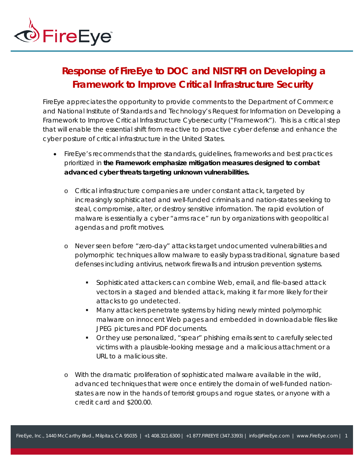

## **Response of FireEye to DOC and NIST RFI on Developing a Framework to Improve Critical Infrastructure Security**

FireEye appreciates the opportunity to provide comments to the Department of Commerce and National Institute of Standards and Technology's Request for Information on Developing a Framework to Improve Critical Infrastructure Cybersecurity ("Framework"). This is a critical step that will enable the essential shift from reactive to proactive cyber defense and enhance the cyber posture of critical infrastructure in the United States.

- FireEye's recommends that the standards, guidelines, frameworks and best practices prioritized in **the Framework emphasize mitigation measures designed to combat advanced cyber threats targeting unknown vulnerabilities.**
	- o Critical infrastructure companies are under constant attack, targeted by increasingly sophisticated and well-funded criminals and nation-states seeking to steal, compromise, alter, or destroy sensitive information. The rapid evolution of malware is essentially a cyber "arms race" run by organizations with geopolitical agendas and profit motives.
	- o Never seen before "zero-day" attacks target undocumented vulnerabilities and polymorphic techniques allow malware to easily bypass traditional, signature based defenses including antivirus, network firewalls and intrusion prevention systems.
		- Sophisticated attackers can combine Web, email, and file-based attack vectors in a staged and blended attack, making it far more likely for their attacks to go undetected.
		- **Many attackers penetrate systems by hiding newly minted polymorphic** malware on innocent Web pages and embedded in downloadable files like JPEG pictures and PDF documents.
		- Or they use personalized, "spear" phishing emails sent to carefully selected victims with a plausible-looking message and a malicious attachment or a URL to a malicious site.
	- o With the dramatic proliferation of sophisticated malware available in the wild, advanced techniques that were once entirely the domain of well-funded nationstates are now in the hands of terrorist groups and rogue states, or anyone with a credit card and \$200.00.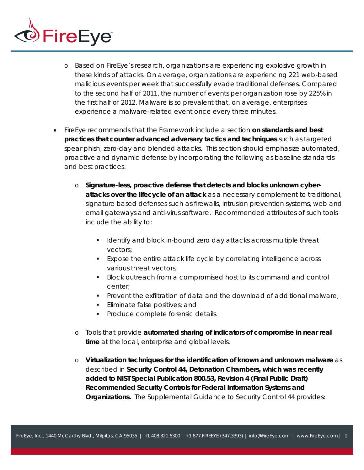

- o Based on FireEye's research, organizations are experiencing explosive growth in these kinds of attacks. On average, organizations are experiencing 221 web-based malicious events per week that successfully evade traditional defenses. Compared to the second half of 2011, the number of events per organization rose by 225% in the first half of 2012. Malware is so prevalent that, on average, enterprises experience a malware-related event once every three minutes.
- FireEye recommends that the Framework include a section **on standards and best practices that counter advanced adversary tactics and techniques** such as targeted spear phish, zero-day and blended attacks. This section should emphasize automated, proactive and dynamic defense by incorporating the following as baseline standards and best practices:
	- o **Signature-less, proactive defense that detects and blocks unknown cyberattacks over the lifecycle of an attack** as a necessary complement to traditional, signature based defenses such as firewalls, intrusion prevention systems, web and email gateways and anti-virus software. Recommended attributes of such tools include the ability to:
		- **I** Identify and block in-bound zero day attacks across multiple threat vectors;
		- Expose the entire attack life cycle by correlating intelligence across various threat vectors;
		- **Block outreach from a compromised host to its command and control** center;
		- Prevent the exfiltration of data and the download of additional malware;
		- **Eliminate false positives; and**
		- **Produce complete forensic details.**
	- o Tools that provide **automated sharing of indicators of compromise in near real time** at the local, enterprise and global levels.
	- o **Virtualization techniques for the identification of known and unknown malware** as described in **Security Control 44, Detonation Chambers, which was recently added to NIST Special Publication 800.53, Revision 4 (Final Public Draft) Recommended Security Controls for Federal Information Systems and Organizations.** The Supplemental Guidance to Security Control 44 provides: